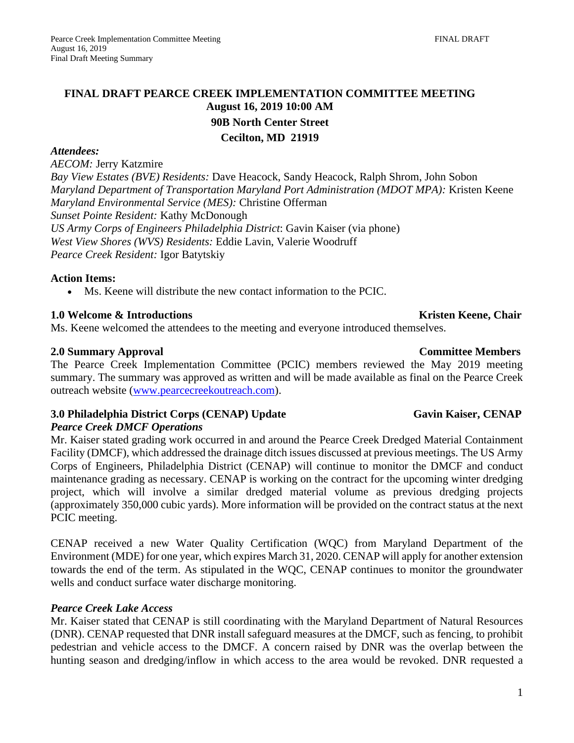# **FINAL DRAFT PEARCE CREEK IMPLEMENTATION COMMITTEE MEETING August 16, 2019 10:00 AM 90B North Center Street Cecilton, MD 21919**

### *Attendees:*

*AECOM:* Jerry Katzmire

*Bay View Estates (BVE) Residents:* Dave Heacock, Sandy Heacock, Ralph Shrom, John Sobon *Maryland Department of Transportation Maryland Port Administration (MDOT MPA):* Kristen Keene *Maryland Environmental Service (MES):* Christine Offerman *Sunset Pointe Resident:* Kathy McDonough *US Army Corps of Engineers Philadelphia District*: Gavin Kaiser (via phone) *West View Shores (WVS) Residents:* Eddie Lavin, Valerie Woodruff *Pearce Creek Resident:* Igor Batytskiy

#### **Action Items:**

• Ms. Keene will distribute the new contact information to the PCIC.

# **1.0 Welcome & Introductions Chair <b>Kristen Keene**, Chair **Kristen Keene**, Chair

Ms. Keene welcomed the attendees to the meeting and everyone introduced themselves.

### **2.0 Summary Approval Committee Members**

The Pearce Creek Implementation Committee (PCIC) members reviewed the May 2019 meeting summary. The summary was approved as written and will be made available as final on the Pearce Creek outreach website [\(www.pearcecreekoutreach.com\)](http://www.pearcecreekoutreach.com/).

# **3.0 Philadelphia District Corps (CENAP) Update Gavin Kaiser, CENAP**

### *Pearce Creek DMCF Operations*

Mr. Kaiser stated grading work occurred in and around the Pearce Creek Dredged Material Containment Facility (DMCF), which addressed the drainage ditch issues discussed at previous meetings. The US Army Corps of Engineers, Philadelphia District (CENAP) will continue to monitor the DMCF and conduct maintenance grading as necessary. CENAP is working on the contract for the upcoming winter dredging project, which will involve a similar dredged material volume as previous dredging projects (approximately 350,000 cubic yards). More information will be provided on the contract status at the next PCIC meeting.

CENAP received a new Water Quality Certification (WQC) from Maryland Department of the Environment (MDE) for one year, which expires March 31, 2020. CENAP will apply for another extension towards the end of the term. As stipulated in the WQC, CENAP continues to monitor the groundwater wells and conduct surface water discharge monitoring.

### *Pearce Creek Lake Access*

Mr. Kaiser stated that CENAP is still coordinating with the Maryland Department of Natural Resources (DNR). CENAP requested that DNR install safeguard measures at the DMCF, such as fencing, to prohibit pedestrian and vehicle access to the DMCF. A concern raised by DNR was the overlap between the hunting season and dredging/inflow in which access to the area would be revoked. DNR requested a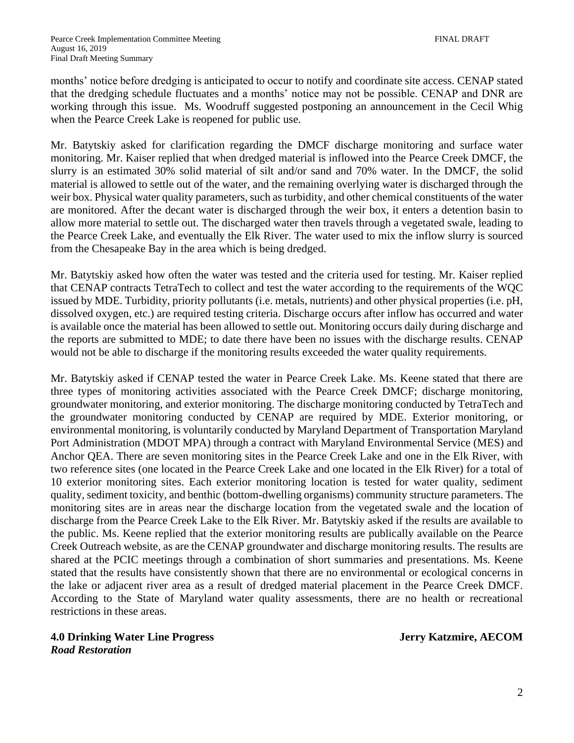months' notice before dredging is anticipated to occur to notify and coordinate site access. CENAP stated that the dredging schedule fluctuates and a months' notice may not be possible. CENAP and DNR are working through this issue. Ms. Woodruff suggested postponing an announcement in the Cecil Whig when the Pearce Creek Lake is reopened for public use.

Mr. Batytskiy asked for clarification regarding the DMCF discharge monitoring and surface water monitoring. Mr. Kaiser replied that when dredged material is inflowed into the Pearce Creek DMCF, the slurry is an estimated 30% solid material of silt and/or sand and 70% water. In the DMCF, the solid material is allowed to settle out of the water, and the remaining overlying water is discharged through the weir box. Physical water quality parameters, such as turbidity, and other chemical constituents of the water are monitored. After the decant water is discharged through the weir box, it enters a detention basin to allow more material to settle out. The discharged water then travels through a vegetated swale, leading to the Pearce Creek Lake, and eventually the Elk River. The water used to mix the inflow slurry is sourced from the Chesapeake Bay in the area which is being dredged.

Mr. Batytskiy asked how often the water was tested and the criteria used for testing. Mr. Kaiser replied that CENAP contracts TetraTech to collect and test the water according to the requirements of the WQC issued by MDE. Turbidity, priority pollutants (i.e. metals, nutrients) and other physical properties (i.e. pH, dissolved oxygen, etc.) are required testing criteria. Discharge occurs after inflow has occurred and water is available once the material has been allowed to settle out. Monitoring occurs daily during discharge and the reports are submitted to MDE; to date there have been no issues with the discharge results. CENAP would not be able to discharge if the monitoring results exceeded the water quality requirements.

Mr. Batytskiy asked if CENAP tested the water in Pearce Creek Lake. Ms. Keene stated that there are three types of monitoring activities associated with the Pearce Creek DMCF; discharge monitoring, groundwater monitoring, and exterior monitoring. The discharge monitoring conducted by TetraTech and the groundwater monitoring conducted by CENAP are required by MDE. Exterior monitoring, or environmental monitoring, is voluntarily conducted by Maryland Department of Transportation Maryland Port Administration (MDOT MPA) through a contract with Maryland Environmental Service (MES) and Anchor QEA. There are seven monitoring sites in the Pearce Creek Lake and one in the Elk River, with two reference sites (one located in the Pearce Creek Lake and one located in the Elk River) for a total of 10 exterior monitoring sites. Each exterior monitoring location is tested for water quality, sediment quality, sediment toxicity, and benthic (bottom-dwelling organisms) community structure parameters. The monitoring sites are in areas near the discharge location from the vegetated swale and the location of discharge from the Pearce Creek Lake to the Elk River. Mr. Batytskiy asked if the results are available to the public. Ms. Keene replied that the exterior monitoring results are publically available on the Pearce Creek Outreach website, as are the CENAP groundwater and discharge monitoring results. The results are shared at the PCIC meetings through a combination of short summaries and presentations. Ms. Keene stated that the results have consistently shown that there are no environmental or ecological concerns in the lake or adjacent river area as a result of dredged material placement in the Pearce Creek DMCF. According to the State of Maryland water quality assessments, there are no health or recreational restrictions in these areas.

**4.0 Drinking Water Line Progress Jerry Katzmire, AECOM** *Road Restoration*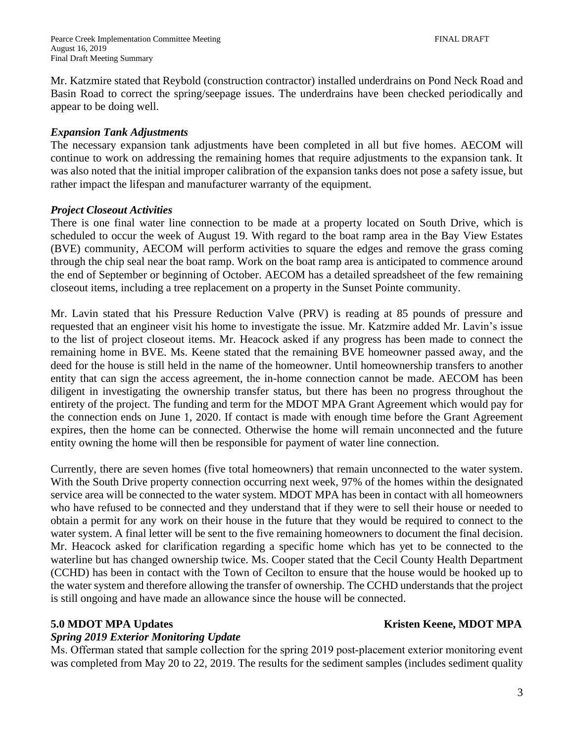Mr. Katzmire stated that Reybold (construction contractor) installed underdrains on Pond Neck Road and Basin Road to correct the spring/seepage issues. The underdrains have been checked periodically and appear to be doing well.

### *Expansion Tank Adjustments*

The necessary expansion tank adjustments have been completed in all but five homes. AECOM will continue to work on addressing the remaining homes that require adjustments to the expansion tank. It was also noted that the initial improper calibration of the expansion tanks does not pose a safety issue, but rather impact the lifespan and manufacturer warranty of the equipment.

#### *Project Closeout Activities*

There is one final water line connection to be made at a property located on South Drive, which is scheduled to occur the week of August 19. With regard to the boat ramp area in the Bay View Estates (BVE) community, AECOM will perform activities to square the edges and remove the grass coming through the chip seal near the boat ramp. Work on the boat ramp area is anticipated to commence around the end of September or beginning of October. AECOM has a detailed spreadsheet of the few remaining closeout items, including a tree replacement on a property in the Sunset Pointe community.

Mr. Lavin stated that his Pressure Reduction Valve (PRV) is reading at 85 pounds of pressure and requested that an engineer visit his home to investigate the issue. Mr. Katzmire added Mr. Lavin's issue to the list of project closeout items. Mr. Heacock asked if any progress has been made to connect the remaining home in BVE. Ms. Keene stated that the remaining BVE homeowner passed away, and the deed for the house is still held in the name of the homeowner. Until homeownership transfers to another entity that can sign the access agreement, the in-home connection cannot be made. AECOM has been diligent in investigating the ownership transfer status, but there has been no progress throughout the entirety of the project. The funding and term for the MDOT MPA Grant Agreement which would pay for the connection ends on June 1, 2020. If contact is made with enough time before the Grant Agreement expires, then the home can be connected. Otherwise the home will remain unconnected and the future entity owning the home will then be responsible for payment of water line connection.

Currently, there are seven homes (five total homeowners) that remain unconnected to the water system. With the South Drive property connection occurring next week, 97% of the homes within the designated service area will be connected to the water system. MDOT MPA has been in contact with all homeowners who have refused to be connected and they understand that if they were to sell their house or needed to obtain a permit for any work on their house in the future that they would be required to connect to the water system. A final letter will be sent to the five remaining homeowners to document the final decision. Mr. Heacock asked for clarification regarding a specific home which has yet to be connected to the waterline but has changed ownership twice. Ms. Cooper stated that the Cecil County Health Department (CCHD) has been in contact with the Town of Cecilton to ensure that the house would be hooked up to the water system and therefore allowing the transfer of ownership. The CCHD understands that the project is still ongoing and have made an allowance since the house will be connected.

#### *Spring 2019 Exterior Monitoring Update*

Ms. Offerman stated that sample collection for the spring 2019 post-placement exterior monitoring event was completed from May 20 to 22, 2019. The results for the sediment samples (includes sediment quality

### **5.0 MDOT MPA Updates** Kristen Keene, **MDOT MPA**